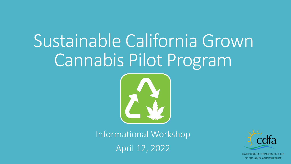# Sustainable California Grown Cannabis Pilot Program



Informational Workshop April 12, 2022



CALIFORNIA DEPARTMENT OF FOOD AND AGRICULTURE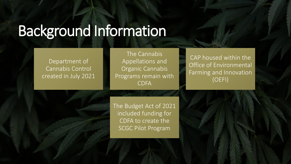# Background Information

 created in July 2021 Department of Cannabis Control

The Cannabis Appellations and Organic Cannabis Programs remain with CDFA

CAP housed within the Office of Environmental Farming and Innovation (OEFI)

The Budget Act of 2021 included funding for CDFA to create the SCGC Pilot Program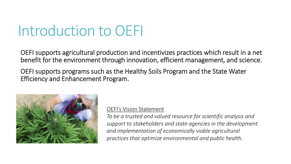# Introduction to OEFI

 OEFI supports agricultural production and incentivizes practices which result in a net benefit for the environment through innovation, efficient management, and science.

 OEFI supports programs such as the Healthy Soils Program and the State Water Efficiency and Enhancement Program.



## OEFI's Vision Statement

*To be a trusted and valued resource for scientific analysis and support to stakeholders and state agencies in the development and implementation of economically viable agricultural practices that optimize environmental and public health.*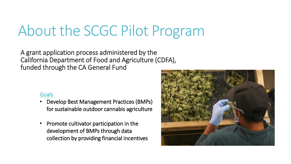# About the SCGC Pilot Program

 A grant application process administered by the California Department of Food and Agriculture (CDFA), funded through the CA General Fund

## **Goals**

- • Develop Best Management Practices (BMPs) for sustainable outdoor cannabis agriculture
- • Promote cultivator participation in the development of BMPs through data collection by providing financial incentives

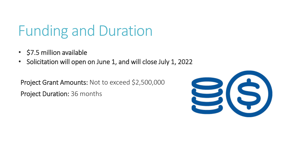# Funding and Duration

- \$7.5 million available
- Solicitation will open on June 1, and will close July 1, 2022

 Project Grant Amounts: Not to exceed \$2,500,000 Project Duration: 36 months

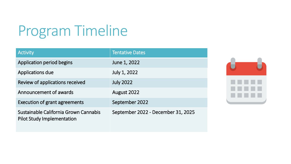# Program Timeline

| <b>Activity</b>                                                            | <b>Tentative Dates</b>             |
|----------------------------------------------------------------------------|------------------------------------|
| Application period begins                                                  | June 1, 2022                       |
| Applications due                                                           | July 1, 2022                       |
| Review of applications received                                            | <b>July 2022</b>                   |
| Announcement of awards                                                     | August 2022                        |
| <b>Execution of grant agreements</b>                                       | September 2022                     |
| Sustainable California Grown Cannabis<br><b>Pilot Study Implementation</b> | September 2022 - December 31, 2025 |

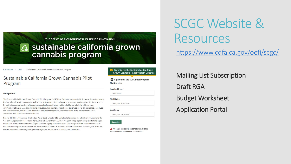**THE OFFICE OF ENVIRONMENTAL FARMING & INNOVATION** 

## ~ **sustainable california grown cannabis program**

CDFA Home : OEFI : Sustainable California Grown Cannabis Pilot Program

### **Sustainable California Grown Cannabis Pilot Program**

#### **Background**

The Sustainable California Grown Cannabis Pilot Program (SCGC Pilot Program) was created to improve the state's access to data related to outdoor cannabis cultivation to formulate standards and best management practices that can be used by cultivators statewide. One of the primary goals of regulating cannabis in California is to help address many environmental issues associated with its cultivation. For example, greenhouse gas emission (GHG), sustainable land use, soil contamination, pesticide use, and water resource management, are some of the many environmental risks associated with the cultivation of cannabis.

Senate Bill (SB) 170 (Skinner, The Budget Act of 2021, Chapter 240, Statute of 2021) includes \$9 million in funding to the California Department of Food and Agriculture (CDFA) for the SCGC Pilot Program. The program will provide funding to incentivize licensed outdoor cannabis growers from legacy cultivation areas to participate in the collection of data to benchmark best practices to reduce the environmental impact of outdoor cannabis cultivation. The study will focus on sustainable water and energy use; pest management and fertilizer practices; and soil health.

**B Sign Up for the Sustainable California Grown Cannabis Pilot Program Updates**  ~ **Sign Up for the SCGC Pilot Program Mailing List.** 

#### **Email Address •**

Enter email

**First Name** 

Enter your first name

**Last Name** 

Enter your last name

Subscribe

**A** An email notice **will** be sent to you. Please rosnand to the mossage to confirm vour

# SCGC Website & Resources

<https://www.cdfa.ca.gov/oefi/scgc/>

Mailing List Subscription

Draft RGA

Budget Worksheet

Application Portal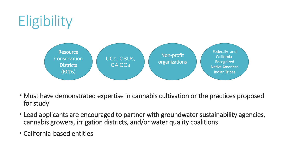# **Eligibility**



- • Must have demonstrated expertise in cannabis cultivation or the practices proposed for study
- • Lead applicants are encouraged to partner with groundwater sustainability agencies, cannabis growers, irrigation districts, and/or water quality coalitions
- California-based entities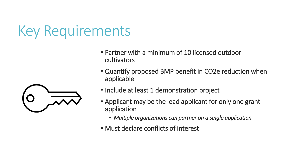## Key Requirements

- • Partner with a minimum of 10 licensed outdoor cultivators
- • Quantify proposed BMP benefit in CO2e reduction when applicable
- Include at least 1 demonstration project
- • Applicant may be the lead applicant for only one grant application
	- *Multiple organizations can partner on a single application*
- Must declare conflicts of interest

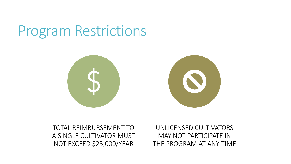## Program Restrictions



TOTAL REIMBURSEMENT TO UNLICENSED CULTIVATORS A SINGLE CULTIVATOR MUST MAY NOT PARTICIPATE IN

NOT EXCEED \$25,000/YEAR THE PROGRAM AT ANY TIME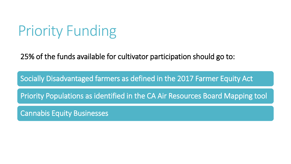# Priority Funding

25% of the funds available for cultivator participation should go to:

Socially Disadvantaged farmers as defined in the 2017 Farmer Equity Act

Priority Populations as identified in the CA Air Resources Board Mapping tool

Cannabis Equity Businesses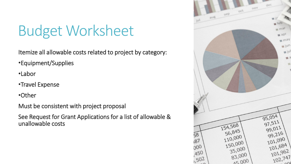# Budget Worksheet

Itemize all allowable costs related to project by category:

•Equipment/Supplies

•Labor

•Travel Expense

•Other

Must be consistent with project proposal

 See Request for Grant Applications for a list of allowable & unallowable costs

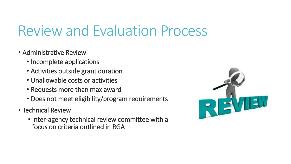# Review and Evaluation Process

- Administrative Review
	- Incomplete applications
	- Activities outside grant duration
	- Unallowable costs or activities
	- Requests more than max award
	- Does not meet eligibility/program requirements
- Technical Review
	- • Inter-agency technical review committee with a focus on criteria outlined in RGA

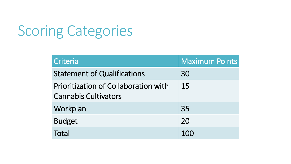# Scoring Categories

| Criteria                                                                   | <b>Maximum Points</b> |
|----------------------------------------------------------------------------|-----------------------|
| <b>Statement of Qualifications</b>                                         | 30                    |
| <b>Prioritization of Collaboration with</b><br><b>Cannabis Cultivators</b> | 15                    |
| Workplan                                                                   | 35                    |
| <b>Budget</b>                                                              | 20                    |
| Total                                                                      | 100                   |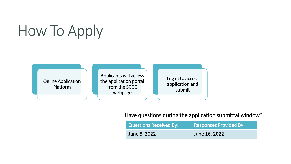# How To Apply

 Online Application Platform

 Applicants will access the application portal from the SCGC webpage

 Log in to access application and submit

Have questions during the application submittal window?

| Questions Received By: | Responses Provided By: |
|------------------------|------------------------|
| June 8, 2022           | June 16, 2022          |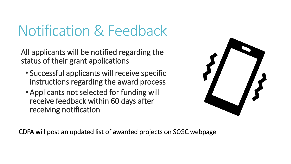# Notification & Feedback

 All applicants will be notified regarding the status of their grant applications

- • Successful applicants will receive specific instructions regarding the award process
- • Applicants not selected for funding will receive feedback within 60 days after receiving notification



CDFA will post an updated list of awarded projects on SCGC webpage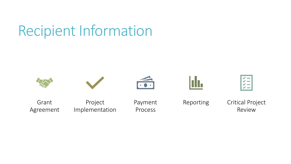# Recipient Information